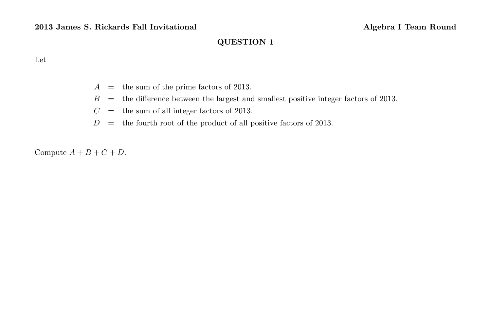#### Let

- $A =$  the sum of the prime factors of 2013.
- $B =$  the difference between the largest and smallest positive integer factors of 2013.
- $C =$  the sum of all integer factors of 2013.
- $D =$  the fourth root of the product of all positive factors of 2013.

Compute  $A + B + C + D$ .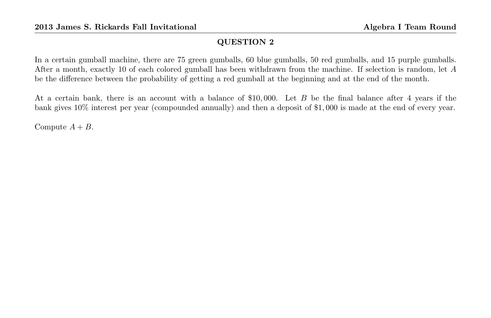In a certain gumball machine, there are 75 green gumballs, 60 blue gumballs, 50 red gumballs, and 15 purple gumballs. After a month, exactly 10 of each colored gumball has been withdrawn from the machine. If selection is random, let A be the difference between the probability of getting a red gumball at the beginning and at the end of the month.

At a certain bank, there is an account with a balance of \$10, 000. Let B be the final balance after 4 years if the bank gives 10% interest per year (compounded annually) and then a deposit of \$1, 000 is made at the end of every year.

Compute  $A + B$ .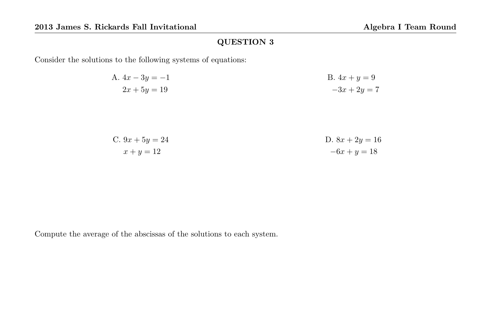Consider the solutions to the following systems of equations:

| A. $4x - 3y = -1$ | B. $4x + y = 9$ |
|-------------------|-----------------|
| $2x + 5y = 19$    | $-3x + 2y = 7$  |

C. 
$$
9x + 5y = 24
$$
  
D.  $8x + 2y = 16$   
D.  $8x + 2y = 16$   
-6x + y = 18

Compute the average of the abscissas of the solutions to each system.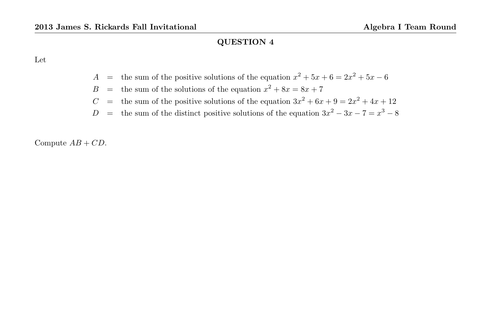Let

- A = the sum of the positive solutions of the equation  $x^2 + 5x + 6 = 2x^2 + 5x 6$
- $B =$  the sum of the solutions of the equation  $x^2 + 8x = 8x + 7$
- C = the sum of the positive solutions of the equation  $3x^2 + 6x + 9 = 2x^2 + 4x + 12$
- D = the sum of the distinct positive solutions of the equation  $3x^2 3x 7 = x^3 8$

Compute  $AB + CD$ .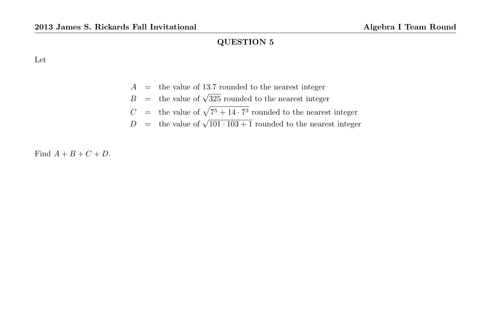Let

- $A =$  the value of 13.7 rounded to the nearest integer
- $B =$  the value of  $\sqrt{325}$  rounded to the nearest integer
- $C =$  the value of  $\sqrt{7^5 + 14 \cdot 7^3}$  rounded to the nearest integer
- $D =$  the value of  $\sqrt{101 \cdot 103 + 1}$  rounded to the nearest integer

Find  $A + B + C + D$ .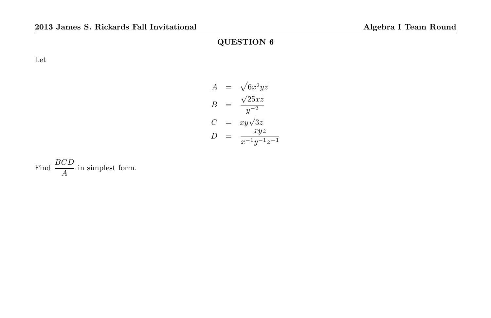Let

$$
A = \sqrt{6x^2yz}
$$
  
\n
$$
B = \frac{\sqrt{25xz}}{y^{-2}}
$$
  
\n
$$
C = xy\sqrt{3z}
$$
  
\n
$$
D = \frac{xyz}{x^{-1}y^{-1}z^{-1}}
$$

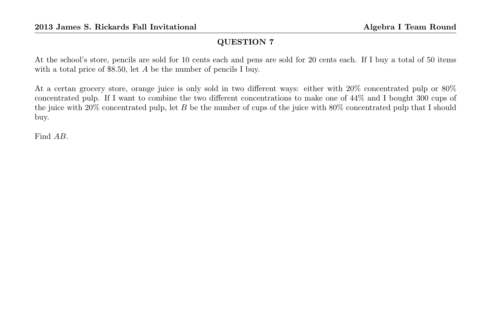At the school's store, pencils are sold for 10 cents each and pens are sold for 20 cents each. If I buy a total of 50 items with a total price of \$8.50, let A be the number of pencils I buy.

At a certan grocery store, orange juice is only sold in two different ways: either with 20% concentrated pulp or 80% concentrated pulp. If I want to combine the two different concentrations to make one of 44% and I bought 300 cups of the juice with 20% concentrated pulp, let B be the number of cups of the juice with 80% concentrated pulp that I should buy.

Find AB.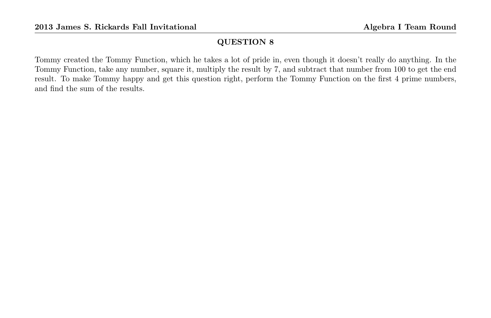Tommy created the Tommy Function, which he takes a lot of pride in, even though it doesn't really do anything. In the Tommy Function, take any number, square it, multiply the result by 7, and subtract that number from 100 to get the end result. To make Tommy happy and get this question right, perform the Tommy Function on the first 4 prime numbers, and find the sum of the results.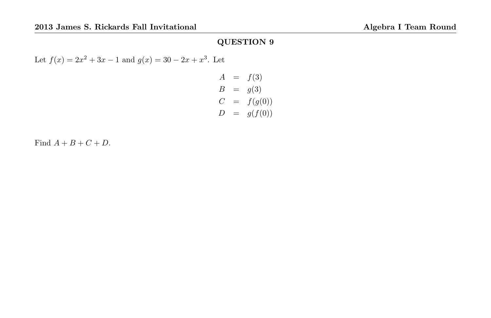Let  $f(x) = 2x^2 + 3x - 1$  and  $g(x) = 30 - 2x + x^3$ . Let

$$
A = f(3)
$$
  
\n
$$
B = g(3)
$$
  
\n
$$
C = f(g(0))
$$
  
\n
$$
D = g(f(0))
$$

Find  $A + B + C + D$ .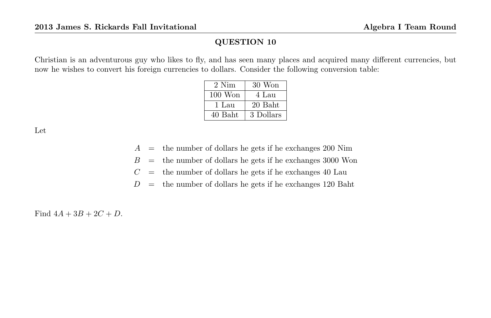Christian is an adventurous guy who likes to fly, and has seen many places and acquired many different currencies, but now he wishes to convert his foreign currencies to dollars. Consider the following conversion table:

| 2 Nim     | 30 Won    |
|-----------|-----------|
| $100$ Won | 4 Lau     |
| 1 Lau     | 20 Baht   |
| 40 Baht   | 3 Dollars |

Let

- $A =$  the number of dollars he gets if he exchanges 200 Nim
- $B =$  the number of dollars he gets if he exchanges 3000 Won
- $C =$  the number of dollars he gets if he exchanges 40 Lau

 $D =$  the number of dollars he gets if he exchanges 120 Baht

Find  $4A + 3B + 2C + D$ .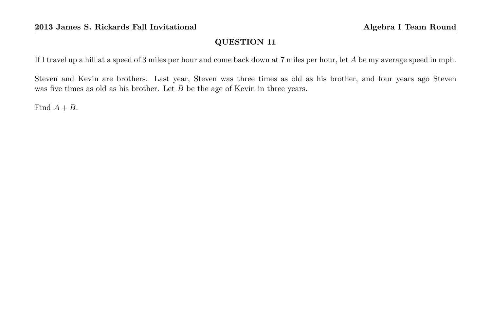If I travel up a hill at a speed of 3 miles per hour and come back down at 7 miles per hour, let A be my average speed in mph.

Steven and Kevin are brothers. Last year, Steven was three times as old as his brother, and four years ago Steven was five times as old as his brother. Let B be the age of Kevin in three years.

Find  $A + B$ .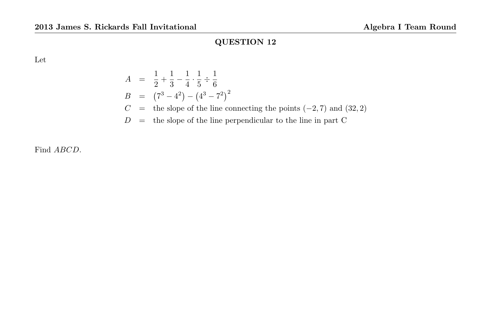Let

$$
A = \frac{1}{2} + \frac{1}{3} - \frac{1}{4} \cdot \frac{1}{5} \div \frac{1}{6}
$$
  
\n
$$
B = (7^3 - 4^2) - (4^3 - 7^2)^2
$$
  
\n
$$
C =
$$
 the slope of the line connecting the points (-2, 7) and (32, 2)  
\n
$$
D =
$$
 the slope of the line perpendicular to the line in part C

Find ABCD.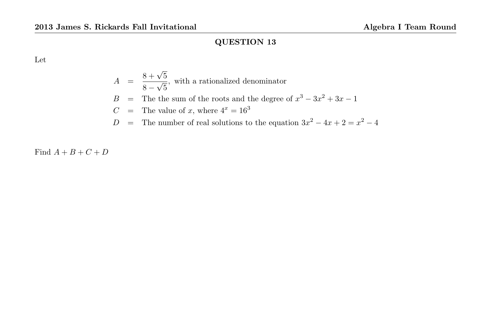Let

$$
A = \frac{8 + \sqrt{5}}{8 - \sqrt{5}}
$$
, with a rationalized denominator  
\n
$$
B = \text{The the sum of the roots and the degree of } x^3 - 3x^2 + 3x - 1
$$
  
\n
$$
C = \text{The value of } x \text{, where } 4^x = 16^3
$$

D = The number of real solutions to the equation  $3x^2 - 4x + 2 = x^2 - 4$ 

Find  $A + B + C + D$